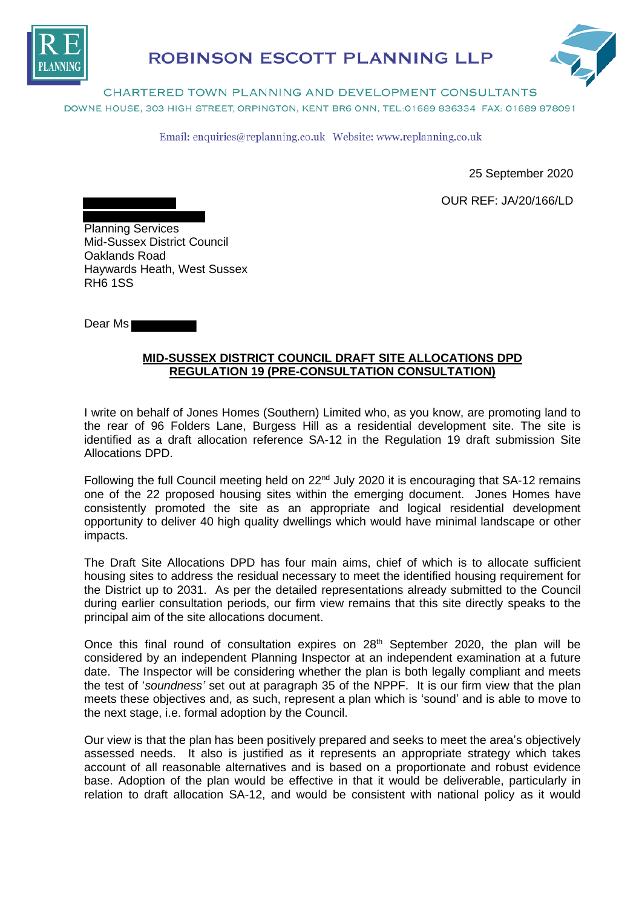

## **ROBINSON ESCOTT PLANNING LLP**



CHARTERED TOWN PLANNING AND DEVELOPMENT CONSULTANTS DOWNE HOUSE, 303 HIGH STREET, ORPINGTON, KENT BR6 ONN, TEL: 01689 836334 FAX: 01689 878091

Email: enquiries@replanning.co.uk Website: www.replanning.co.uk

25 September 2020

OUR REF: JA/20/166/LD

Planning Services Mid-Sussex District Council Oaklands Road Haywards Heath, West Sussex RH6 1SS

Dear Ms

## **MID-SUSSEX DISTRICT COUNCIL DRAFT SITE ALLOCATIONS DPD REGULATION 19 (PRE-CONSULTATION CONSULTATION)**

I write on behalf of Jones Homes (Southern) Limited who, as you know, are promoting land to the rear of 96 Folders Lane, Burgess Hill as a residential development site. The site is identified as a draft allocation reference SA-12 in the Regulation 19 draft submission Site Allocations DPD.

Following the full Council meeting held on 22<sup>nd</sup> July 2020 it is encouraging that SA-12 remains one of the 22 proposed housing sites within the emerging document. Jones Homes have consistently promoted the site as an appropriate and logical residential development opportunity to deliver 40 high quality dwellings which would have minimal landscape or other impacts.

The Draft Site Allocations DPD has four main aims, chief of which is to allocate sufficient housing sites to address the residual necessary to meet the identified housing requirement for the District up to 2031. As per the detailed representations already submitted to the Council during earlier consultation periods, our firm view remains that this site directly speaks to the principal aim of the site allocations document.

Once this final round of consultation expires on  $28<sup>th</sup>$  September 2020, the plan will be considered by an independent Planning Inspector at an independent examination at a future date. The Inspector will be considering whether the plan is both legally compliant and meets the test of '*soundness'* set out at paragraph 35 of the NPPF. It is our firm view that the plan meets these objectives and, as such, represent a plan which is 'sound' and is able to move to the next stage, i.e. formal adoption by the Council.

Our view is that the plan has been positively prepared and seeks to meet the area's objectively assessed needs. It also is justified as it represents an appropriate strategy which takes account of all reasonable alternatives and is based on a proportionate and robust evidence base. Adoption of the plan would be effective in that it would be deliverable, particularly in relation to draft allocation SA-12, and would be consistent with national policy as it would